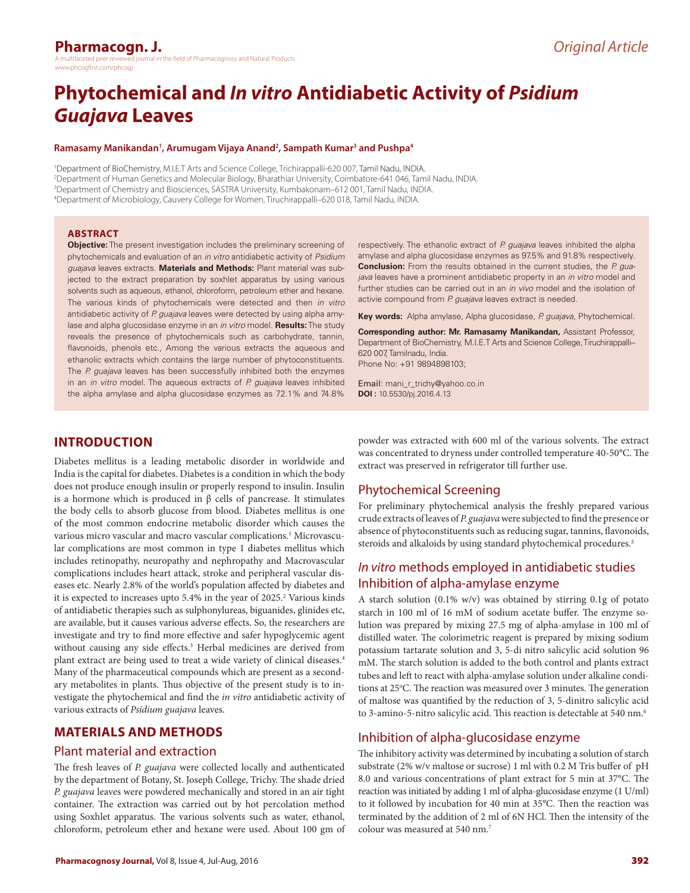# **Phytochemical and** *In vitro* **Antidiabetic Activity of** *Psidium Guajava* **Leaves**

#### **Ramasamy Manikandan1 , Arumugam Vijaya Anand2 , Sampath Kumar3 and Pushpa4**

 Department of BioChemistry, M.I.E.T Arts and Science College, Trichirappalli-620 007, Tamil Nadu, INDIA. Department of Human Genetics and Molecular Biology, Bharathiar University, Coimbatore-641 046, Tamil Nadu, INDIA. Department of Chemistry and Biosciences, SASTRA University, Kumbakonam–612 001, Tamil Nadu, INDIA. Department of Microbiology, Cauvery College for Women, Tiruchirappalli–620 018, Tamil Nadu, INDIA.

### **ABSTRACT**

**Objective:** The present investigation includes the preliminary screening of phytochemicals and evaluation of an *in vitro* antidiabetic activity of *Psidium guajava* leaves extracts. **Materials and Methods:** Plant material was subjected to the extract preparation by soxhlet apparatus by using various solvents such as aqueous, ethanol, chloroform, petroleum ether and hexane. The various kinds of phytochemicals were detected and then *in vitro* antidiabetic activity of *P. guajava* leaves were detected by using alpha amylase and alpha glucosidase enzyme in an *in vitro* model. **Results:** The study reveals the presence of phytochemicals such as carbohydrate, tannin, flavonoids, phenols etc., Among the various extracts the aqueous and ethanolic extracts which contains the large number of phytoconstituents. The *P. guajava* leaves has been successfully inhibited both the enzymes in an *in vitro* model. The aqueous extracts of *P. guajava* leaves inhibited the alpha amylase and alpha glucosidase enzymes as 72.1% and 74.8%

respectively. The ethanolic extract of *P. guajava* leaves inhibited the alpha amylase and alpha glucosidase enzymes as 97.5% and 91.8% respectively. **Conclusion:** From the results obtained in the current studies, the *P. guajava* leaves have a prominent antidiabetic property in an *in vitro* model and further studies can be carried out in an *in vivo* model and the isolation of activie compound from *P. guajava* leaves extract is needed*.*

**Key words:** Alpha amylase, Alpha glucosidase, *P. guajava*, Phytochemical.

**Corresponding author: Mr. Ramasamy Manikandan,** Assistant Professor, Department of BioChemistry, M.I.E.T Arts and Science College, Tiruchirappalli– 620 007, Tamilnadu, India. Phone No: +91 9894898103;

Email: mani\_r\_trichy@yahoo.co.in **DOI :** 10.5530/pj.2016.4.13

# **INTRODUCTION**

Diabetes mellitus is a leading metabolic disorder in worldwide and India is the capital for diabetes. Diabetes is a condition in which the body does not produce enough insulin or properly respond to insulin. Insulin is a hormone which is produced in β cells of pancrease. It stimulates the body cells to absorb glucose from blood. Diabetes mellitus is one of the most common endocrine metabolic disorder which causes the various micro vascular and macro vascular complications.<sup>1</sup> Microvascular complications are most common in type 1 diabetes mellitus which includes retinopathy, neuropathy and nephropathy and Macrovascular complications includes heart attack, stroke and peripheral vascular diseases etc. Nearly 2.8% of the world's population affected by diabetes and it is expected to increases upto 5.4% in the year of 2025.<sup>2</sup> Various kinds of antidiabetic therapies such as sulphonylureas, biguanides, glinides etc, are available, but it causes various adverse effects. So, the researchers are investigate and try to find more effective and safer hypoglycemic agent without causing any side effects.<sup>3</sup> Herbal medicines are derived from plant extract are being used to treat a wide variety of clinical diseases.4 Many of the pharmaceutical compounds which are present as a secondary metabolites in plants. Thus objective of the present study is to investigate the phytochemical and find the *in vitro* antidiabetic activity of various extracts of *Psidium guajava* leaves.

# **MATERIALS AND METHODS**

### Plant material and extraction

The fresh leaves of *P. guajava* were collected locally and authenticated by the department of Botany, St. Joseph College, Trichy. The shade dried *P. guajava* leaves were powdered mechanically and stored in an air tight container. The extraction was carried out by hot percolation method using Soxhlet apparatus. The various solvents such as water, ethanol, chloroform, petroleum ether and hexane were used. About 100 gm of

powder was extracted with 600 ml of the various solvents. The extract was concentrated to dryness under controlled temperature 40-50°C. The extract was preserved in refrigerator till further use.

# Phytochemical Screening

For preliminary phytochemical analysis the freshly prepared various crude extracts of leaves of *P. guajava* were subjected to find the presence or absence of phytoconstituents such as reducing sugar, tannins, flavonoids, steroids and alkaloids by using standard phytochemical procedures.<sup>5</sup>

# *In vitro* methods employed in antidiabetic studies Inhibition of alpha-amylase enzyme

A starch solution (0.1% w/v) was obtained by stirring 0.1g of potato starch in 100 ml of 16 mM of sodium acetate buffer. The enzyme solution was prepared by mixing 27.5 mg of alpha-amylase in 100 ml of distilled water. The colorimetric reagent is prepared by mixing sodium potassium tartarate solution and 3, 5-di nitro salicylic acid solution 96 mM. The starch solution is added to the both control and plants extract tubes and left to react with alpha-amylase solution under alkaline conditions at 25°C. The reaction was measured over 3 minutes. The generation of maltose was quantified by the reduction of 3, 5-dinitro salicylic acid to 3-amino-5-nitro salicylic acid. This reaction is detectable at 540 nm.<sup>6</sup>

# Inhibition of alpha-glucosidase enzyme

The inhibitory activity was determined by incubating a solution of starch substrate (2% w/v maltose or sucrose) 1 ml with 0.2 M Tris buffer of pH 8.0 and various concentrations of plant extract for 5 min at 37°C. The reaction was initiated by adding 1 ml of alpha-glucosidase enzyme (1 U/ml) to it followed by incubation for 40 min at 35°C. Then the reaction was terminated by the addition of 2 ml of 6N HCl. Then the intensity of the colour was measured at 540 nm.7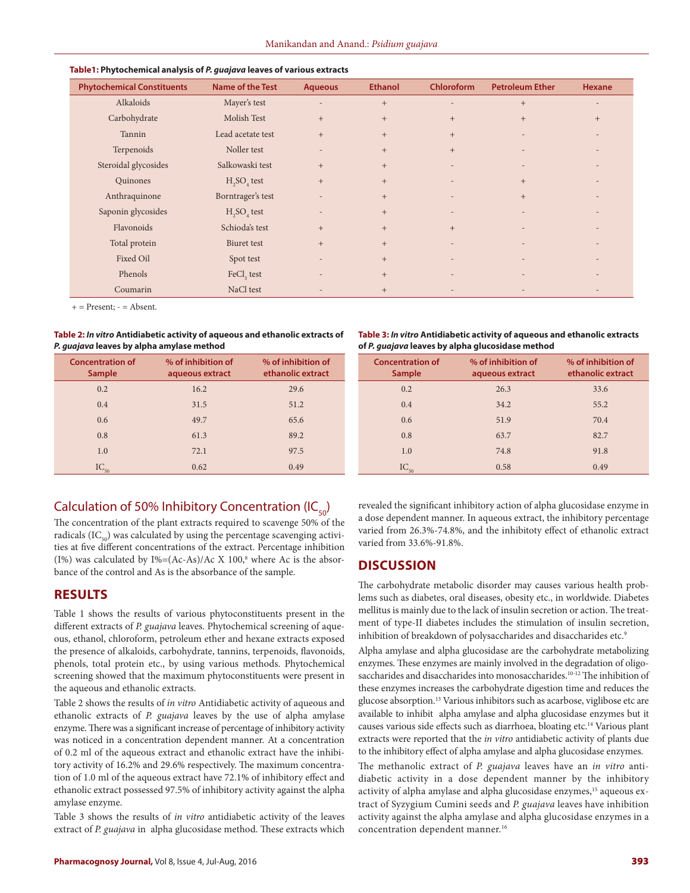| <b>Phytochemical Constituents</b> | <b>Name of the Test</b> | <b>Aqueous</b>           | <b>Ethanol</b> | <b>Chloroform</b>        | <b>Petroleum Ether</b>   | Hexane            |
|-----------------------------------|-------------------------|--------------------------|----------------|--------------------------|--------------------------|-------------------|
| Alkaloids                         | Mayer's test            | $\overline{a}$           | $+$            | $\overline{a}$           | $+$                      | $\qquad \qquad$   |
| Carbohydrate                      | Molish Test             | $+$                      | $^{+}$         | $+$                      | $+$                      | $\qquad \qquad +$ |
| Tannin                            | Lead acetate test       | $+$                      | $+$            | $+$                      |                          |                   |
| Terpenoids                        | Noller test             | $\overline{a}$           | $+$            | $+$                      |                          |                   |
| Steroidal glycosides              | Salkowaski test         | $+$                      | $^{+}$         | $\overline{\phantom{0}}$ | $\overline{\phantom{a}}$ |                   |
| Quinones                          | $H2SO4$ test            | $+$                      | $+$            | $\overline{\phantom{a}}$ | $+$                      |                   |
| Anthraquinone                     | Borntrager's test       | $\overline{a}$           | $+$            | $\overline{\phantom{a}}$ | $+$                      |                   |
| Saponin glycosides                | $H2SO4$ test            | $\overline{\phantom{a}}$ | $+$            | $\overline{\phantom{a}}$ |                          |                   |
| Flavonoids                        | Schioda's test          | $+$                      | $+$            | $+$                      |                          |                   |
| Total protein                     | Biuret test             | $+$                      | $+$            | $\overline{\phantom{a}}$ | $\overline{a}$           |                   |
| Fixed Oil                         | Spot test               | $\overline{a}$           | $+$            | ٠                        |                          |                   |
| Phenols                           | FeCl <sub>3</sub> test  |                          | $+$            | $\overline{\phantom{0}}$ |                          |                   |
| Coumarin                          | NaCl test               |                          | $+$            |                          |                          |                   |

#### **Table1: Phytochemical analysis of** *P. guajava* **leaves of various extracts**

 $+=$  Present:  $=$  Absent.

**Table 2:** *In vitro* **Antidiabetic activity of aqueous and ethanolic extracts of**  *P. guajava* **leaves by alpha amylase method**

| <b>Concentration of</b><br><b>Sample</b> | % of inhibition of<br>aqueous extract | % of inhibition of<br>ethanolic extract | <b>Concentration of</b><br><b>Sample</b> | % of inhibition of<br>aqueous extract | % of inhibition of<br>ethanolic extract |  |  |
|------------------------------------------|---------------------------------------|-----------------------------------------|------------------------------------------|---------------------------------------|-----------------------------------------|--|--|
| 0.2                                      | 16.2                                  | 29.6                                    | 0.2                                      | 26.3                                  | 33.6                                    |  |  |
| 0.4                                      | 31.5                                  | 51.2                                    | 0.4                                      | 34.2                                  | 55.2                                    |  |  |
| 0.6                                      | 49.7                                  | 65.6                                    | 0.6                                      | 51.9                                  | 70.4                                    |  |  |
| 0.8                                      | 61.3                                  | 89.2                                    | 0.8                                      | 63.7                                  | 82.7                                    |  |  |
| 1.0                                      | 72.1                                  | 97.5                                    | 1.0                                      | 74.8                                  | 91.8                                    |  |  |
| $IC_{50}$                                | 0.62                                  | 0.49                                    | $IC_{50}$                                | 0.58                                  | 0.49                                    |  |  |
|                                          |                                       |                                         |                                          |                                       |                                         |  |  |

# Calculation of 50% Inhibitory Concentration (IC $_{50}$ )

The concentration of the plant extracts required to scavenge 50% of the radicals  $(IC_{\epsilon_0})$  was calculated by using the percentage scavenging activities at five different concentrations of the extract. Percentage inhibition (I%) was calculated by  $I\% = (Ac-As)/Ac \times 100$ ,<sup>8</sup> where Ac is the absorbance of the control and As is the absorbance of the sample.

### **RESULTS**

Table 1 shows the results of various phytoconstituents present in the different extracts of *P. guajava* leaves. Phytochemical screening of aqueous, ethanol, chloroform, petroleum ether and hexane extracts exposed the presence of alkaloids, carbohydrate, tannins, terpenoids, flavonoids, phenols, total protein etc., by using various methods. Phytochemical screening showed that the maximum phytoconstituents were present in the aqueous and ethanolic extracts.

Table 2 shows the results of *in vitro* Antidiabetic activity of aqueous and ethanolic extracts of *P. guajava* leaves by the use of alpha amylase enzyme. There was a significant increase of percentage of inhibitory activity was noticed in a concentration dependent manner. At a concentration of 0.2 ml of the aqueous extract and ethanolic extract have the inhibitory activity of 16.2% and 29.6% respectively. The maximum concentration of 1.0 ml of the aqueous extract have 72.1% of inhibitory effect and ethanolic extract possessed 97.5% of inhibitory activity against the alpha amylase enzyme.

Table 3 shows the results of *in vitro* antidiabetic activity of the leaves extract of *P. guajava* in alpha glucosidase method. These extracts which revealed the significant inhibitory action of alpha glucosidase enzyme in a dose dependent manner. In aqueous extract, the inhibitory percentage varied from 26.3%-74.8%, and the inhibitoty effect of ethanolic extract varied from 33.6%-91.8%.

**Table 3:** *In vitro* **Antidiabetic activity of aqueous and ethanolic extracts** 

**of** *P. guajava* **leaves by alpha glucosidase method**

# **DISCUSSION**

The carbohydrate metabolic disorder may causes various health problems such as diabetes, oral diseases, obesity etc., in worldwide. Diabetes mellitus is mainly due to the lack of insulin secretion or action. The treatment of type-II diabetes includes the stimulation of insulin secretion, inhibition of breakdown of polysaccharides and disaccharides etc.<sup>9</sup>

Alpha amylase and alpha glucosidase are the carbohydrate metabolizing enzymes. These enzymes are mainly involved in the degradation of oligosaccharides and disaccharides into monosaccharides.<sup>10-12</sup> The inhibition of these enzymes increases the carbohydrate digestion time and reduces the glucose absorption.<sup>13</sup> Various inhibitors such as acarbose, viglibose etc are available to inhibit alpha amylase and alpha glucosidase enzymes but it causes various side effects such as diarrhoea, bloating etc.<sup>14</sup> Various plant extracts were reported that the *in vitro* antidiabetic activity of plants due to the inhibitory effect of alpha amylase and alpha glucosidase enzymes.

The methanolic extract of *P. guajava* leaves have an *in vitro* antidiabetic activity in a dose dependent manner by the inhibitory activity of alpha amylase and alpha glucosidase enzymes,<sup>15</sup> aqueous extract of Syzygium Cumini seeds and *P. guajava* leaves have inhibition activity against the alpha amylase and alpha glucosidase enzymes in a concentration dependent manner.<sup>16</sup>